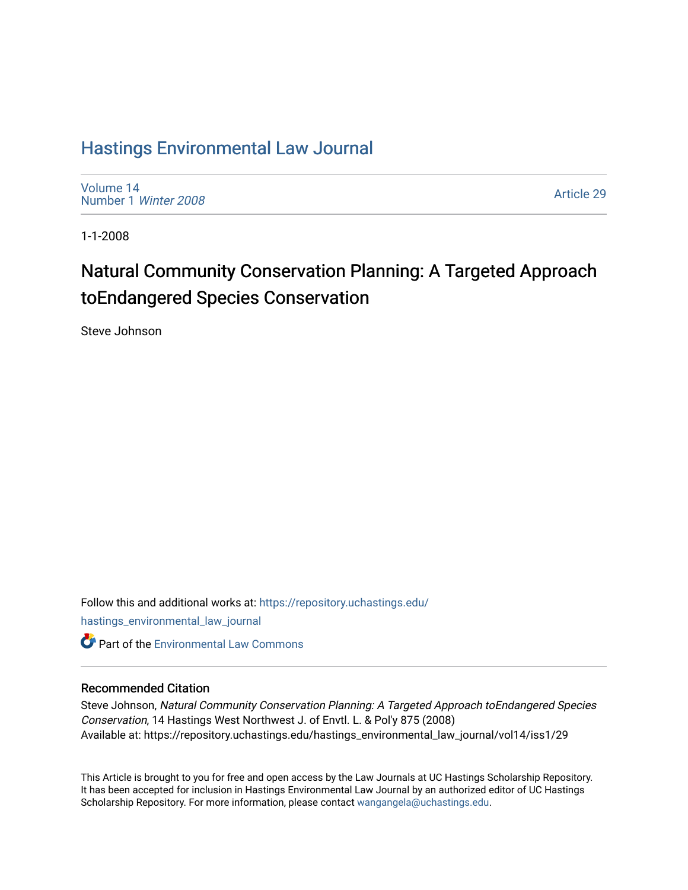## [Hastings Environmental Law Journal](https://repository.uchastings.edu/hastings_environmental_law_journal)

[Volume 14](https://repository.uchastings.edu/hastings_environmental_law_journal/vol14) [Number 1](https://repository.uchastings.edu/hastings_environmental_law_journal/vol14/iss1) Winter 2008

[Article 29](https://repository.uchastings.edu/hastings_environmental_law_journal/vol14/iss1/29) 

1-1-2008

## Natural Community Conservation Planning: A Targeted Approach toEndangered Species Conservation

Steve Johnson

Follow this and additional works at: [https://repository.uchastings.edu/](https://repository.uchastings.edu/hastings_environmental_law_journal?utm_source=repository.uchastings.edu%2Fhastings_environmental_law_journal%2Fvol14%2Fiss1%2F29&utm_medium=PDF&utm_campaign=PDFCoverPages) [hastings\\_environmental\\_law\\_journal](https://repository.uchastings.edu/hastings_environmental_law_journal?utm_source=repository.uchastings.edu%2Fhastings_environmental_law_journal%2Fvol14%2Fiss1%2F29&utm_medium=PDF&utm_campaign=PDFCoverPages)  **C** Part of the [Environmental Law Commons](http://network.bepress.com/hgg/discipline/599?utm_source=repository.uchastings.edu%2Fhastings_environmental_law_journal%2Fvol14%2Fiss1%2F29&utm_medium=PDF&utm_campaign=PDFCoverPages)

## Recommended Citation

Steve Johnson, Natural Community Conservation Planning: A Targeted Approach toEndangered Species Conservation, 14 Hastings West Northwest J. of Envtl. L. & Pol'y 875 (2008) Available at: https://repository.uchastings.edu/hastings\_environmental\_law\_journal/vol14/iss1/29

This Article is brought to you for free and open access by the Law Journals at UC Hastings Scholarship Repository. It has been accepted for inclusion in Hastings Environmental Law Journal by an authorized editor of UC Hastings Scholarship Repository. For more information, please contact [wangangela@uchastings.edu.](mailto:wangangela@uchastings.edu)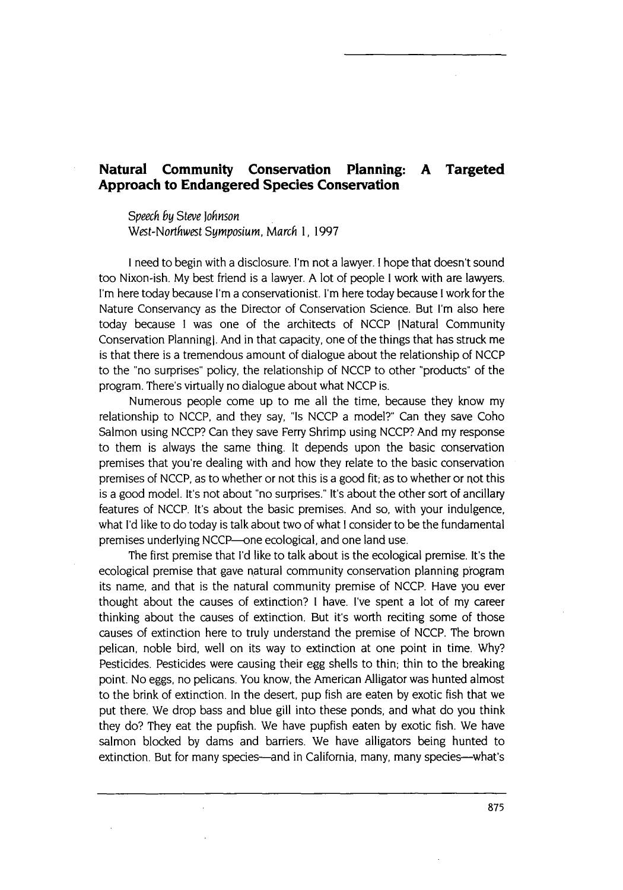## **Natural Community Conservation Planning: A Targeted Approach to Endangered Species Conservation**

*Speech by Steve Johnson West-Northwest Symposium, March* 1, 1997

I need to begin with a disclosure. I'm not a lawyer. I hope that doesn't sound too Nixon-ish. My best friend is a lawyer. A lot of people **I** work with are lawyers. I'm here today because I'm a conservationist. I'm here today because I work for the Nature Conservancy as the Director of Conservation Science. But I'm also here today because **I** was one of the architects of NCCP INatural Community Conservation Planningi. And in that capacity, one of the things that has struck me is that there is a tremendous amount of dialogue about the relationship of NCCP to the "no surprises" policy, the relationship of NCCP to other "products" of the program. There's virtually no dialogue about what NCCP is.

Numerous people come up to me all the time, because they know my relationship to NCCP, and they say, "Is NCCP a model?" Can they save Coho Salmon using NCCP? Can they save Ferry Shrimp using NCCP? And my response to them is always the same thing. It depends upon the basic conservation premises that you're dealing with and how they relate to the basic conservation premises of NCCP, as to whether or not this is a good fit; as to whether or not this is a good model. It's not about "no surprises." It's about the other sort of ancillary features of NCCP. It's about the basic premises. And so, with your indulgence, what **I'd** like to do today is talk about two of what I consider to be the fundamental premises underlying NCCP-one ecological, and one land use.

The first premise that I'd like to talk about is the ecological premise. It's the ecological premise that gave natural community conservation planning program its name, and that is the natural community premise of NCCP. Have you ever thought about the causes of extinction? I have. I've spent a lot of my career thinking about the causes of extinction. But it's worth reciting some of those causes of extinction here to truly understand the premise of NCCP. The brown pelican, noble bird, well on its way to extinction at one point in time. Why? Pesticides. Pesticides were causing their egg shells to thin; thin to the breaking point. No eggs, no pelicans. You know, the American Alligator was hunted almost to the brink of extinction. In the desert, pup fish are eaten by exotic fish that we put there. We drop bass and blue gill into these ponds, and what do you think they do? They eat the pupfish. We have pupfish eaten by exotic fish. We have salmon blocked by dams and barriers. We have alligators being hunted to extinction. But for many species—and in California, many, many species—what's

875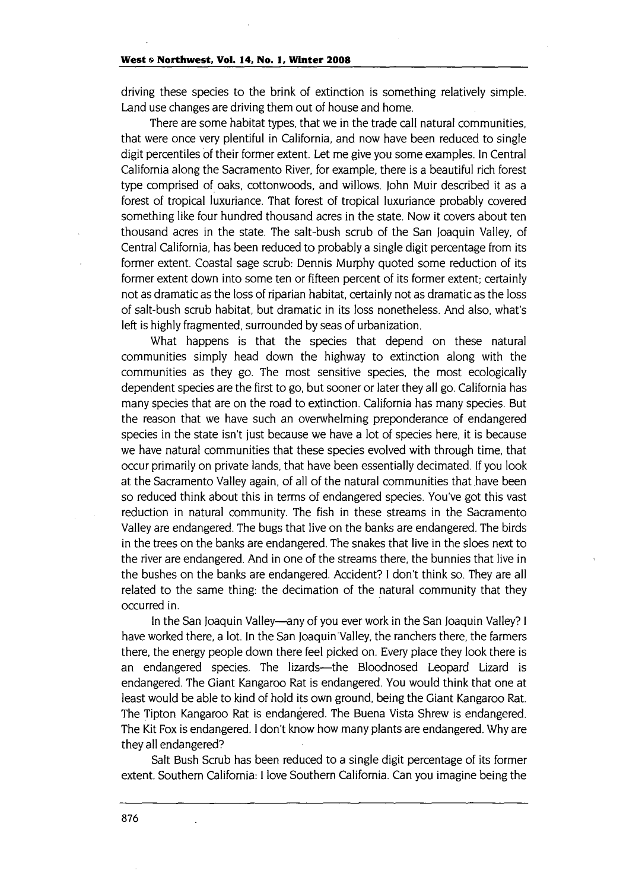driving these species to the brink of extinction is something relatively simple. Land use changes are driving them out of house and home.

There are some habitat types, that we in the trade call natural communities, that were once very plentiful in California, and now have been reduced to single digit percentiles **of** their former extent. Let me give you some examples. In Central California along the Sacramento River, for example, there is a beautiful rich forest type comprised of oaks, cottonwoods, and willows. John Muir described it as a forest of tropical luxuriance. That forest of tropical luxuriance probably covered something like four hundred thousand acres in the state. Now it covers about ten thousand acres in the state. The salt-bush scrub of the San Joaquin Valley, of Central California, has been reduced to probably a single digit percentage from its former extent. Coastal sage scrub: Dennis Murphy quoted some reduction of its former extent down into some ten or fifteen percent of its former extent; certainly not as dramatic as the loss of riparian habitat, certainly not as dramatic as the loss of salt-bush scrub habitat, but dramatic in its loss nonetheless. And also, what's left is highly fragmented, surrounded by seas of urbanization.

What happens is that the species that depend on these natural communities simply head down the highway to extinction along with the communities as they go. The most sensitive species, the most ecologically dependent species are the first to go, but sooner or later they all go. California has many species that are on the road to extinction. California has many species. But the reason that we have such an overwhelming preponderance of endangered species in the state isn't just because we have a lot of species here, it is because we have natural communities that these species evolved with through time, that occur primarily on private lands, that have been essentially decimated. If you look at the Sacramento Valley again, of all of the natural communities that have been so reduced think about this in terms of endangered species. You've got this vast reduction in natural community. The fish in these streams in the Sacramento Valley are endangered. The bugs that live on the banks are endangered. The birds in the trees on the banks are endangered. The snakes that live in the sloes next to the river are endangered. And in one of the streams there, the bunnies that live in the bushes on the banks are endangered. Accident? **I** don't think so. They are all related to the same thing: the decimation of the natural community that they occurred in.

In the San Joaquin Valley-any of you ever work in the San Joaquin Valley? **I** have worked there, a lot. In the San Joaquin Valley, the ranchers there, the farmers there, the energy people down there feel picked on. Every place they look there is an endangered species. The lizards-the Bloodnosed Leopard Lizard is endangered. The Giant Kangaroo Rat is endangered. You would think that one at least would be able to kind of hold its own ground, being the Giant Kangaroo Rat. The Tipton Kangaroo Rat is endangered. The Buena Vista Shrew is endangered. The Kit Fox is endangered. I don't know how many plants are endangered. Why are they all endangered?

Salt Bush Scrub has been reduced to a single digit percentage of its former extent. Southern California: I love Southern California. Can you imagine being the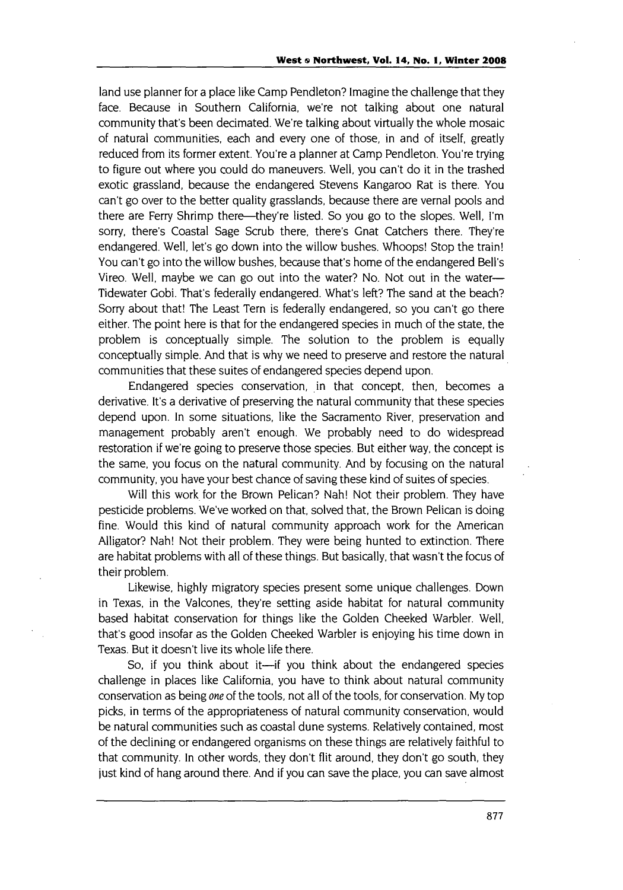land use planner for a place like Camp Pendleton? Imagine the challenge that they face. Because in Southern California, we're not talking about one natural community that's been decimated. We're talking about virtually the whole mosaic of natural communities, each and every one of those, in and of itself, greatly reduced from its former extent. You're a planner at Camp Pendleton. You're trying to figure out where you could do maneuvers. Well, you can't do it in the trashed exotic grassland, because the endangered Stevens Kangaroo Rat is there. You can't go over to the better quality grasslands, because there are vernal pools and there are Ferry Shrimp there-they're listed. So you go to the slopes. Well, I'm sorry, there's Coastal Sage Scrub there, there's Gnat Catchers there. They're endangered. Well, let's go down into the willow bushes. Whoops! Stop the train! You can't go into the willow bushes, because that's home of the endangered Bell's Vireo. Well, maybe we can go out into the water? No. Not out in the water-Tidewater Gobi. That's federally endangered. What's left? The sand at the beach? Sorry about that! The Least Tern is federally endangered, so you can't go there either. The point here is that for the endangered species in much of the state, the problem is conceptually simple. The solution to the problem is equally conceptually simple. And that is why we need to preserve and restore the natural communities that these suites of endangered species depend upon.

Endangered species conservation, in that concept, then, becomes a derivative. It's a derivative of preserving the natural community that these species depend upon. In some situations, like the Sacramento River, preservation and management probably aren't enough. We probably need to do widespread restoration if we're going to preserve those species. But either Way, the concept is the same, you focus on the natural community. And by focusing on the natural community, you have your best chance of saving these kind of suites of species.

Will this work for the Brown Pelican? Nah! Not their problem. They have pesticide problems. We've worked on that, solved that, the Brown Pelican is doing fine. Would this kind of natural community approach work for the American Alligator? Nah! Not their problem. They were being hunted to extinction. There are habitat problems with all of these things. But basically, that wasn't the focus of their problem.

Likewise, highly migratory species present some unique challenges. Down in Texas, in the Valcones, they're setting aside habitat for natural community based habitat conservation for things like the Golden Cheeked Warbler. Well, that's good insofar as the Golden Cheeked Warbler is enjoying his time down in Texas. But it doesn't live its whole life there.

So, if you think about it—if you think about the endangered species challenge in places like California, you have to think about natural community conservation as being *one* of the tools, not all of the tools, for conservation. My top picks, in terms of the appropriateness of natural community conservation, would be natural communities such as coastal dune systems. Relatively contained, most of the declining or endangered organisms on these things are relatively faithful to that community. In other words, they don't flit around, they don't go south, they just kind of hang around there. And if you can save the place, you can save almost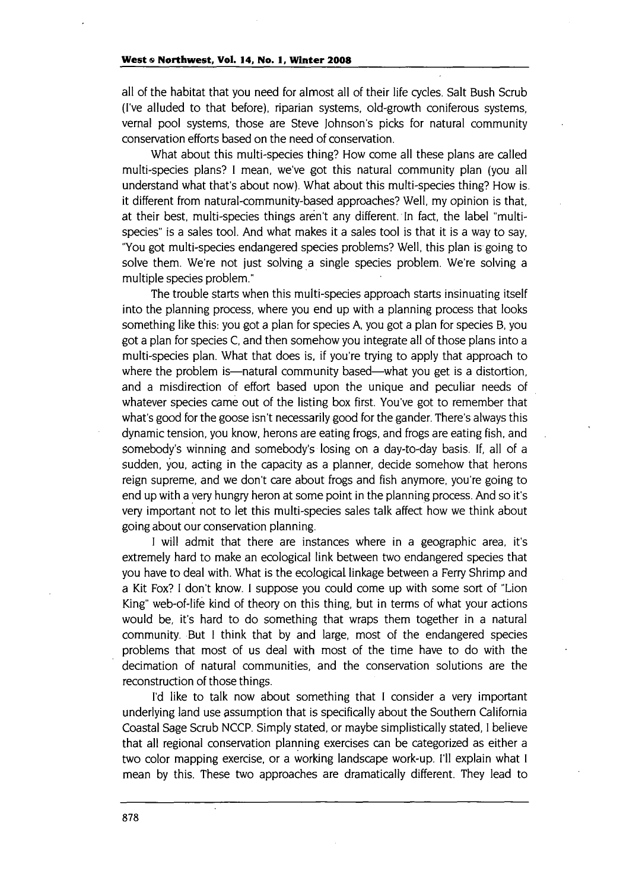all of the habitat that you need for almost all of their life cycles. Salt Bush Scrub (I've alluded to that before), riparian systems, old-growth coniferous systems, vernal pool systems, those are Steve Johnson's picks for natural community conservation efforts based on the need of conservation.

What about this multi-species thing? How come all these plans are called multi-species plans? I mean, we've got this natural community plan (you all understand what that's about now). What about this multi-species thing? How is. it different from natural-community-based approaches? Well, my opinion is that, at their best, multi-species things aren't any different. In fact, the label "multispecies" is a sales tool. And what makes it a sales tool is that it is a way to say, "You got multi-species endangered species problems? Well, this plan is going to solve them. We're not just solving a single species problem. We're solving a multiple species problem."

The trouble starts when this multi-species approach starts insinuating itself into the planning process, where you end up with a planning process that looks something like this: you got a plan for species A, you got a plan for species B, you got a plan for species C, and then somehow you integrate all of those plans into a multi-species plan. What that does is, if you're trying to apply that approach to where the problem is—natural community based—what you get is a distortion, and a misdirection of effort based upon the unique and peculiar needs of whatever species came out of the listing box first. You've got to remember that what's good for the goose isn't necessarily good for the gander. There's always this dynamic tension, you know, herons are eating frogs, and frogs are eating fish, and somebody's winning and somebody's losing on a day-to-day basis. If, all of a sudden, you, acting in the capacity as a planner, decide somehow that herons reign supreme, and we don't care about frogs and fish anymore, you're going to end up with a very hungry heron at some point in the planning process. And so it's very important not to let this multi-species sales talk affect how we think about going about our conservation planning.

I will admit that there are instances where in a geographic area, it's extremely hard to make an ecological link between two endangered species that you have to deal with. What is the ecological linkage between a Ferry Shrimp and a Kit Fox? I don't know. **I** suppose you could come up with some sort of "Lion King" web-of-life kind of theory on this thing, but in terms of what your actions would be, it's hard to do something that wraps them together in a natural community. But I think that by and large, most of the endangered species problems that most of us deal with most of the time have to do with the decimation of natural communities, and the conservation solutions are the reconstruction of those things.

**I'd** like to talk now about something that **I** consider a very important underlying land use assumption that is specifically about the Southern California Coastal Sage Scrub NCCP. Simply stated, or maybe simplistically stated, I believe that all regional conservation planning exercises can be categorized as either a two color mapping exercise, or a working landscape work-up. **I'll** explain what **I** mean by this. These two approaches are dramatically different. They lead to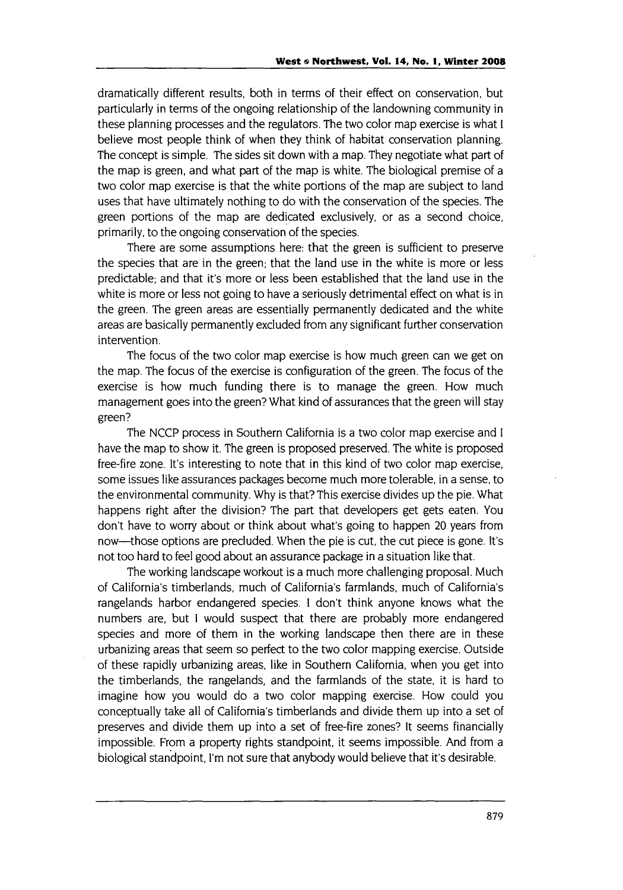dramatically different results, both in terms of their effect on conservation, but particularly in terms of the ongoing relationship of the landowning community in these planning processes and the regulators. The two color map exercise is what **I** believe most people think of when they think of habitat conservation planning. The concept is simple. The sides sit down with a map. They negotiate what part of the map is green, and what part of the map is white. The biological premise of a two color map exercise is that the white portions of the map are subject to land uses that have ultimately nothing to do with the conservation of the species. The green portions of the map are dedicated exclusively, or as a second choice, primarily, to the ongoing conservation of the species.

There are some assumptions here: that the green is sufficient to preserve the species that are in the green; that the land use in the white is more or less predictable; and that it's more or less been established that the land use in the white is more or less not going to have a seriously detrimental effect on what is in the green. The green areas are essentially permanently dedicated and the white areas are basically permanently excluded from any significant further conservation intervention.

The focus of the two color map exercise is how much green can we get on the map. The focus of the exercise is configuration of the green. The focus of the exercise is how much funding there is to manage the green. How much management goes into the green? What kind of assurances that the green will stay green?

The NCCP process in Southern California is a two color map exercise and I have the map to show it. The green is proposed preserved. The white is proposed free-fire zone. It's interesting to note that in this kind of two color map exercise, some issues like assurances packages become much more tolerable, in a sense, to the environmental community. Why is that? This exercise divides up the pie. What happens right after the division? The part that developers get gets eaten. You don't have to worry about or think about what's going to happen 20 years from now-those options are precluded. When the pie is cut, the cut piece is gone. It's not too hard to feel good about an assurance package in a situation like that.

The working landscape workout is a much more challenging proposal. Much of California's timberlands, much of California's farmlands, much of California's rangelands harbor endangered species. I don't think anyone knows what the numbers are, but **I** would suspect that there are probably more endangered species and more of them in the working landscape then there are in these urbanizing areas that seem so perfect to the two color mapping exercise. Outside of these rapidly urbanizing areas, like in Southern California, when you get into the timberlands, the rangelands, and the farmlands of the state, it is hard to imagine how you would do a two color mapping exercise. How could you conceptually take all of Califomia's timberlands and divide them up into a set of preserves and divide them up into a set of free-fire zones? It seems financially impossible. From a property rights standpoint, it seems impossible. And from a biological standpoint, I'm not sure that anybody would believe that it's desirable.